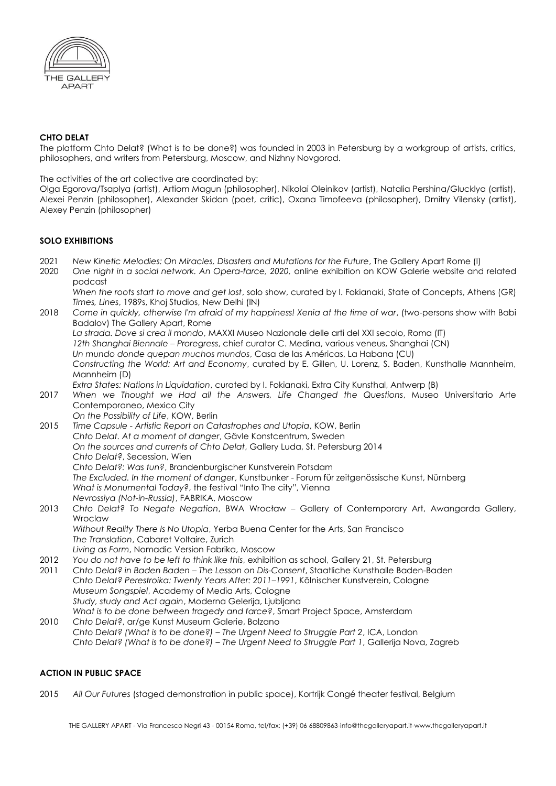

## **CHTO DELAT**

The platform Chto Delat? (What is to be done?) was founded in 2003 in Petersburg by a workgroup of artists, critics, philosophers, and writers from Petersburg, Moscow, and Nizhny Novgorod.

The activities of the art collective are coordinated by:

Olga Egorova/Tsaplya (artist), Artiom Magun (philosopher), Nikolai Oleinikov (artist), Natalia Pershina/Glucklya (artist), Alexei Penzin (philosopher), Alexander Skidan (poet, critic), Oxana Timofeeva (philosopher), Dmitry Vilensky (artist), Alexey Penzin (philosopher)

## **SOLO EXHIBITIONS**

- 2021 *New Kinetic Melodies: On Miracles, Disasters and Mutations for the Future*, The Gallery Apart Rome (I)
- 2020 *One night in a social network. An Opera-farce, 2020,* online exhibition on KOW Galerie website and related podcast
	- *When the roots start to move and get lost*, solo show, curated by I. Fokianaki, State of Concepts, Athens (GR) *Times, Lines*, 1989s, Khoj Studios, New Delhi (IN)
- 2018 *Come in quickly, otherwise I'm afraid of my happiness! Xenia at the time of war*, (two-persons show with Babi Badalov) The Gallery Apart, Rome *La strada. Dove si crea il mondo*, MAXXI Museo Nazionale delle arti del XXI secolo, Roma (IT) *12th Shanghai Biennale – Proregress*, chief curator C. Medina, various veneus, Shanghai (CN) *Un mundo donde quepan muchos mundos*, Casa de las Américas, La Habana (CU) *Constructing the World: Art and Economy*, curated by E. Gillen, U. Lorenz, S. Baden, Kunsthalle Mannheim, Mannheim (D) *Extra States: Nations in Liquidation*, curated by I. Fokianaki, Extra City Kunsthal, Antwerp (B)
- 2017 *When we Thought we Had all the Answers, Life Changed the Questions*, Museo Universitario Arte Contemporaneo, Mexico City *On the Possibility of Life*, KOW, Berlin
- 2015 *Time Capsule - Artistic Report on Catastrophes and Utopia*, KOW, Berlin *Chto Delat. At a moment of danger*, Gävle Konstcentrum, Sweden *On the sources and currents of Chto Delat*, Gallery Luda, St. Petersburg 2014 *Chto Delat?*, Secession, Wien *Chto Delat?: Was tun?*, Brandenburgischer Kunstverein Potsdam *The Excluded. In the moment of danger*, Kunstbunker - Forum für zeitgenössische Kunst, Nürnberg *What is Monumental Today?*, the festival "Into The city", Vienna *Nevrossiya (Not-in-Russia)*, FABRIKA, Moscow
- 2013 *Chto Delat? To Negate Negation*, BWA Wrocław Gallery of Contemporary Art, Awangarda Gallery, **Wroclaw** *Without Reality There Is No Utopia*, Yerba Buena Center for the Arts, San Francisco
	- *The Translation*, Cabaret Voltaire, Zurich
	- *Living as Form*, Nomadic Version Fabrika, Moscow
- 2012 *You do not have to be left to think like this*, exhibition as school, Gallery 21, St. Petersburg
- 2011 *Chto Delat? in Baden Baden – The Lesson on Dis-Consent*, Staatliche Kunsthalle Baden-Baden *Chto Delat? Perestroika: Twenty Years After: 2011–1991*, Kölnischer Kunstverein, Cologne *Museum Songspiel*, Academy of Media Arts, Cologne *Study, study and Act again*, Moderna Gelerija, Ljubljana *What is to be done between tragedy and farce?*, Smart Project Space, Amsterdam
- 2010 *Chto Delat?*, ar/ge Kunst Museum Galerie, Bolzano *Chto Delat? (What is to be done?) – The Urgent Need to Struggle Part 2*, ICA, London *Chto Delat? (What is to be done?) – The Urgent Need to Struggle Part 1*, Gallerija Nova, Zagreb

#### **ACTION IN PUBLIC SPACE**

2015 *All Our Futures* (staged demonstration in public space), Kortrijk Congé theater festival, Belgium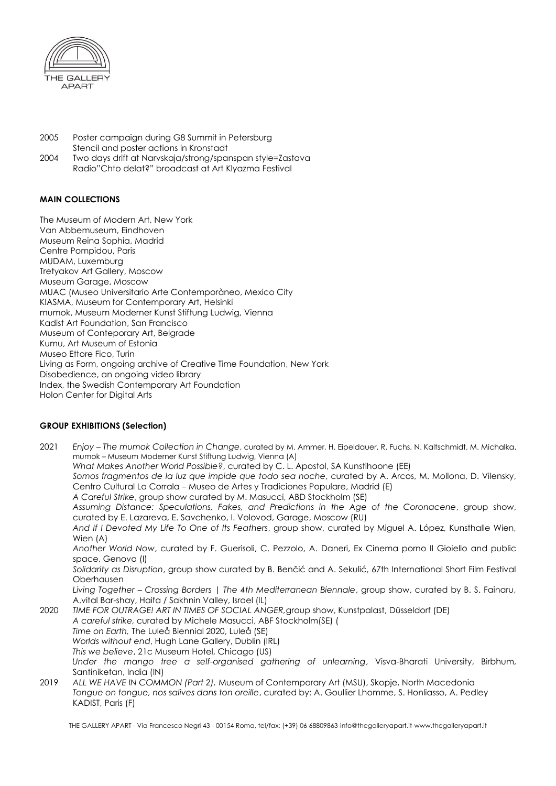

- 2005 Poster campaign during G8 Summit in Petersburg Stencil and poster actions in Kronstadt
- 2004 Two days drift at Narvskaja/strong/spanspan style=Zastava Radio"Chto delat?" broadcast at Art Klyazma Festival

# **MAIN COLLECTIONS**

The Museum of Modern Art, New York Van Abbemuseum, Eindhoven Museum Reina Sophia, Madrid Centre Pompidou, Paris MUDAM, Luxemburg Tretyakov Art Gallery, Moscow Museum Garage, Moscow MUAC (Museo Universitario Arte Contemporàneo, Mexico City KIASMA, Museum for Contemporary Art, Helsinki mumok, Museum Moderner Kunst Stiftung Ludwig, Vienna Kadist Art Foundation, San Francisco Museum of Conteporary Art, Belgrade Kumu, Art Museum of Estonia Museo Ettore Fico, Turin Living as Form, ongoing archive of Creative Time Foundation, New York Disobedience, an ongoing video library Index, the Swedish Contemporary Art Foundation Holon Center for Digital Arts

# **GROUP EXHIBITIONS (Selection)**

2021 *Enjoy – The mumok Collection in Change*, curated by M. Ammer, H. Eipeldauer, R. Fuchs, N. Kaltschmidt, M. Michalka, mumok – Museum Moderner Kunst Stiftung Ludwig, Vienna (A) *What Makes Another World Possible?*, curated by C. L. Apostol, SA Kunstihoone (EE) *Somos fragmentos de la luz que impide que todo sea noche*, curated by A. Arcos, M. Mollona, D. Vilensky, Centro Cultural La Corrala – Museo de Artes y Tradiciones Populare, Madrid (E) *A Careful Strike*, group show curated by M. Masucci, ABD Stockholm (SE) *Assuming Distance: Speculations, Fakes, and Predictions in the Age of the Coronacene*, group show, curated by E. Lazareva, E. Savchenko, I. Volovod, Garage, Moscow (RU) *And If I Devoted My Life To One of Its Feathers*, group show, curated by Miguel A. López, Kunsthalle Wien, Wien (A) *Another World Now*, curated by F. Guerisoli, C. Pezzolo, A. Daneri, Ex Cinema porno Il Gioiello and public space, Genova (I) *Solidarity as Disruption*, group show curated by B. Benčić and A. Sekulić, 67th International Short Film Festival Oberhausen *Living Together – Crossing Borders | The 4th Mediterranean Biennale*, group show, curated by B. S. Fainaru, A.vital Bar-shay, Haifa / Sakhnin Valley, Israel (IL) 2020 *TIME FOR OUTRAGE! ART IN TIMES OF SOCIAL ANGER,*group show, Kunstpalast, Düsseldorf (DE) *A careful strike,* curated by Michele Masucci, ABF Stockholm(SE) ( *Time on Earth,* The Luleå Biennial 2020, Luleå (SE) *Worlds without end*, Hugh Lane Gallery, Dublin (IRL) *This we believe*, 21c Museum Hotel, Chicago (US) *Under the mango tree a self-organised gathering of unlearning*, Visva-Bharati University, Birbhum, Santiniketan, India (IN) 2019 *ALL WE HAVE IN COMMON (Part 2),* Museum of Contemporary Art (MSU), Skopje, North Macedonia *Tongue on tongue, nos salives dans ton oreille*, curated by: A. Goullier Lhomme, S. Honliasso, A. Pedley KADIST, Paris (F)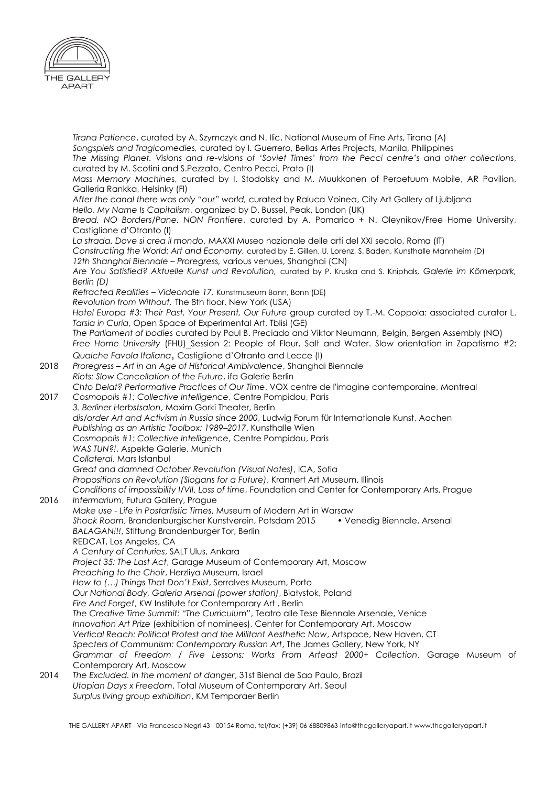

*Tirana Patience*, curated by A. Szymczyk and N. Ilic, National Museum of Fine Arts, Tirana (A) *Songspiels and Tragicomedies,* curated by I. Guerrero, Bellas Artes Projects, Manila, Philippines *The Missing Planet. Visions and re-visions of 'Soviet Times' from the Pecci centre's and other collections*, curated by M. Scotini and S.Pezzato, Centro Pecci, Prato (I) *Mass Memory Machine*s, curated by I. Stodolsky and M. Muukkonen of Perpetuum Mobile, AR Pavilion, Galleria Rankka, Helsinky (FI) *After the canal there was only "our" world,* curated by Raluca Voinea, City Art Gallery of Ljubljana *Hello, My Name Is Capitalism*, organized by D. Bussel, Peak, London (UK) *Bread. NO Borders/Pane. NON Frontiere*, curated by A. Pomarico + N. Oleynikov/Free Home University, Castiglione d'Otranto (I) *La strada. Dove si crea il mondo*, MAXXI Museo nazionale delle arti del XXI secolo, Roma (IT) *Constructing the World: Art and Economy,* curated by E. Gillen, U. Lorenz, S. Baden, Kunsthalle Mannheim (D) *12th Shanghai Biennale – Proregress,* various venues, Shanghai (CN) *Are You Satisfied? Aktuelle Kunst und Revolution,* curated by P. Kruska and S. Kniphals*, Galerie im Körnerpark, Berlin (D) Refracted Realities – Videonale 17,* Kunstmuseum Bonn, Bonn (DE) *Revolution from Without,* The 8th floor, New York (USA) *Hotel Europa #3: Their Past, Your Present, Our Future* group curated by T.-M. Coppola: associated curator L. *Tarsia in Curia*, Open Space of Experimental Art, Tblisi (GE) *The Parliament of bodies* curated by Paul B. Preciado and Viktor Neumann, Belgin, Bergen Assembly (NO) *Free Home University* (FHU) Session 2: People of Flour, Salt and Water. Slow orientation in Zapatismo #2: *Qualche Favola Italiana***,** Castiglione d'Otranto and Lecce (I) 2018 *Proregress – Art in an Age of Historical Ambivalence*, Shanghai Biennale *Riots: Slow Cancellation of the Future*, ifa Galerie Berlin *Chto Delat? Performative Practices of Our Time*, VOX centre de l'imagine contemporaine, Montreal 2017 *Cosmopolis #1: Collective Intelligence*, Centre Pompidou, Paris *3. Berliner Herbstsalon*, Maxim Gorki Theater, Berlin *dis/order Art and Activism in Russia since 2000*, Ludwig Forum für Internationale Kunst, Aachen *Publishing as an Artistic Toolbox: 1989–2017*, Kunsthalle Wien *Cosmopolis #1: Collective Intelligence*, Centre Pompidou, Paris *WAS TUN?!*, Aspekte Galerie, Munich *Collateral*, Mars Istanbul *Great and damned October Revolution (Visual Notes)*, ICA, Sofia *Propositions on Revolution (Slogans for a Future)*, Krannert Art Museum, Illinois *Conditions of impossibility I/VII. Loss of time*, Foundation and Center for Contemporary Arts, Prague 2016 *Intermarium*, Futura Gallery, Prague *Make use - Life in Postartistic Times*, Museum of Modern Art in Warsaw *Shock Room*, Brandenburgischer Kunstverein, Potsdam 2015 • Venedig Biennale, Arsenal *BALAGAN!!!*, Stiftung Brandenburger Tor, Berlin REDCAT, Los Angeles, CA *A Century of Centuries*, SALT Ulus, Ankara *Project 35: The Last Act*, Garage Museum of Contemporary Art, Moscow *Preaching to the Choir*, Herzliya Museum, Israel *How to (…) Things That Don't Exist*, Serralves Museum, Porto *Our National Body, Galeria Arsenal (power station)*, Białystok, Poland *Fire And Forget*, KW Institute for Contemporary Art , Berlin *The Creative Time Summit: "The Curriculum"*, Teatro alle Tese Biennale Arsenale, Venice *Innovation Art Prize* (exhibition of nominees), Center for Contemporary Art, Moscow *Vertical Reach: Political Protest and the Militant Aesthetic Now*, Artspace, New Haven, CT *Specters of Communism: Contemporary Russian Art*, The James Gallery, New York, NY *Grammar of Freedom / Five Lessons: Works From Arteast 2000+ Collection*, Garage Museum of Contemporary Art, Moscow 2014 *The Excluded. In the moment of danger*, 31st Bienal de Sao Paulo, Brazil *Utopian Days x Freedom*, Total Museum of Contemporary Art, Seoul *Surplus living group exhibition*, KM Temporaer Berlin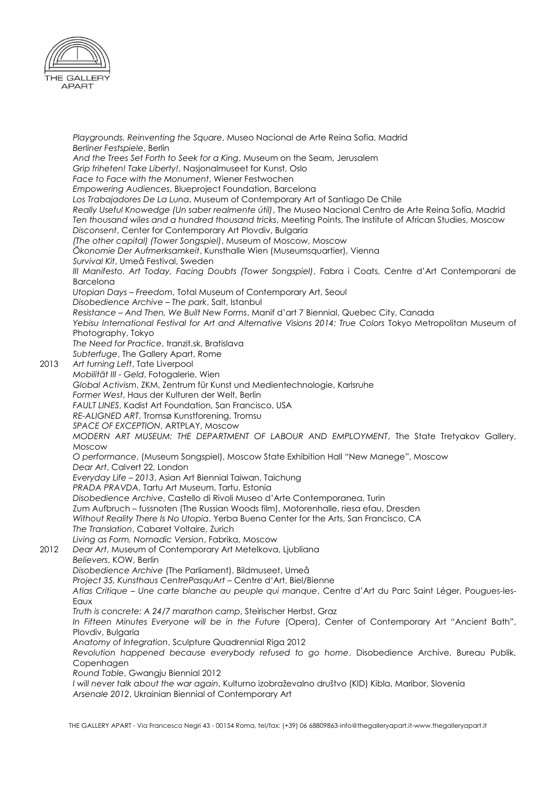

*Playgrounds. Reinventing the Square*, Museo Nacional de Arte Reina Sofia, Madrid *Berliner Festspiele*, Berlin *And the Trees Set Forth to Seek for a King*, Museum on the Seam, Jerusalem *Grip friheten! Take Liberty!*, Nasjonalmuseet for Kunst, Oslo *Face to Face with the Monument*, Wiener Festwochen *Empowering Audiences*, Blueproject Foundation, Barcelona *Los Trabajadores De La Luna*, Museum of Contemporary Art of Santiago De Chile *Really Useful Knowedge (Un saber realmente útil)*, The Museo Nacional Centro de Arte Reina Sofía, Madrid *Ten thousand wiles and a hundred thousand tricks*, Meeting Points, The Institute of African Studies, Moscow *Disconsent*, Center for Contemporary Art Plovdiv, Bulgaria *(The other capital) (Tower Songspiel)*, Museum of Moscow, Moscow *Ökonomie Der Aufmerksamkeit*, Kunsthalle Wien (Museumsquartier), Vienna *Survival Kit*, Umeå Festival, Sweden *III Manifesto. Art Today, Facing Doubts (Tower Songspiel)*, Fabra i Coats, Centre d'Art Contemporani de Barcelona *Utopian Days – Freedom*, Total Museum of Contemporary Art, Seoul *Disobedience Archive – The park*, Salt, Istanbul *Resistance – And Then, We Built New Forms*, Manif d'art 7 Biennial, Quebec City, Canada *Yebisu International Festival for Art and Alternative Visions 2014: True Colors* Tokyo Metropolitan Museum of Photography, Tokyo *The Need for Practice*, tranzit.sk, Bratislava *Subterfuge*, The Gallery Apart, Rome 2013 *Art turning Left*, Tate Liverpool *Mobilität III - Geld*, Fotogalerie, Wien *Global Activism*, ZKM, Zentrum für Kunst und Medientechnologie, Karlsruhe *Former West*, Haus der Kulturen der Welt, Berlin *FAULT LINES*, Kadist Art Foundation, San Francisco, USA *RE-ALIGNED ART*, Tromsø Kunstforening, Tromsu *SPACE OF EXCEPTION*, ARTPLAY, Moscow *MODERN ART MUSEUM: THE DEPARTMENT OF LABOUR AND EMPLOYMENT*, The State Tretyakov Gallery, Moscow *O performance*, (Museum Songspiel), Moscow State Exhibition Hall "New Manege", Moscow *Dear Art*, Calvert 22, London *Everyday Life – 2013*, Asian Art Biennial Taiwan, Taichung *PRADA PRAVDA*, Tartu Art Museum, Tartu, Estonia *Disobedience Archive*, Castello di Rivoli Museo d'Arte Contemporanea, Turin Zum Aufbruch – fussnoten (The Russian Woods film), Motorenhalle, riesa efau, Dresden *Without Reality There Is No Utopia*, Yerba Buena Center for the Arts, San Francisco, CA *The Translation*, Cabaret Voltaire, Zurich *Living as Form, Nomadic Version*, Fabrika, Moscow 2012 *Dear Art*, Museum of Contemporary Art Metelkova, Ljubliana *Believers*, KOW, Berlin *Disobedience Archive* (The Parliament), Bildmuseet, Umeå *Project 35, Kunsthaus CentrePasquArt* – Centre d'Art, Biel/Bienne *Atlas Critique – Une carte blanche au peuple qui manque*, Centre d'Art du Parc Saint Léger, Pougues-les-Eaux *Truth is concrete: A 24/7 marathon camp*, Steirischer Herbst, Graz *In Fifteen Minutes Everyone will be in the Future* (Opera), Center of Contemporary Art "Ancient Bath", Plovdiv, Bulgaria *Anatomy of Integration*, Sculpture Quadrennial Riga 2012 *Revolution happened because everybody refused to go home*, Disobedience Archive, Bureau Publik, **Copenhagen** *Round Table*, Gwangju Biennial 2012 *I will never talk about the war again*, Kulturno izobraževalno društvo (KID) Kibla, Maribor, Slovenia *Arsenale 2012*, Ukrainian Biennial of Contemporary Art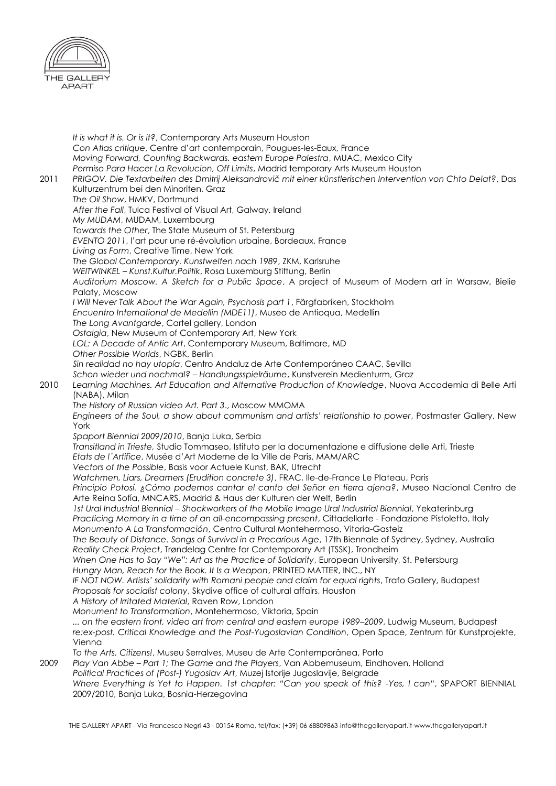

*It is what it is. Or is it?*, Contemporary Arts Museum Houston *Con Atlas critique*, Centre d'art contemporain, Pougues-les-Eaux, France *Moving Forward, Counting Backwards. eastern Europe Palestra*, MUAC, Mexico City *Permiso Para Hacer La Revolucion, Off Limits*, Madrid temporary Arts Museum Houston 2011 *PRIGOV. Die Textarbeiten des Dmitrij Aleksandrovič mit einer künstlerischen Intervention von Chto Delat?*, Das Kulturzentrum bei den Minoriten, Graz *The Oil Show*, HMKV, Dortmund *After the Fall*, Tulca Festival of Visual Art, Galway, Ireland *My MUDAM*, MUDAM, Luxembourg *Towards the Other*, The State Museum of St. Petersburg *EVENTO 2011*, l'art pour une ré-évolution urbaine, Bordeaux, France *Living as Form*, Creative Time, New York *The Global Contemporary. Kunstwelten nach 1989*, ZKM, Karlsruhe *WEITWINKEL – Kunst.Kultur.Politik*, Rosa Luxemburg Stiftung, Berlin *Auditorium Moscow. A Sketch for a Public Space*, A project of Museum of Modern art in Warsaw, Bielie Palaty, Moscow *I Will Never Talk About the War Again, Psychosis part 1*, Färgfabriken, Stockholm *Encuentro International de Medellin (MDE11)*, Museo de Antioqua, Medellin *The Long Avantgarde*, Cartel gallery, London *Ostalgia*, New Museum of Contemporary Art, New York *LOL: A Decade of Antic Art*, Contemporary Museum, Baltimore, MD *Other Possible Worlds*, NGBK, Berlin *Sin realidad no hay utopía*, Centro Andaluz de Arte Contemporáneo CAAC, Sevilla *Schon wieder und nochmal? – Handlungsspielräume*, Kunstverein Medienturm, Graz 2010 *Learning Machines. Art Education and Alternative Production of Knowledge*, Nuova Accademia di Belle Arti (NABA), Milan *The History of Russian video Art. Part 3*., Moscow MMOMA *Engineers of the Soul, a show about communism and artists' relationship to power*, Postmaster Gallery, New York *Spaport Biennial 2009/2010*, Banja Luka, Serbia *Transitland in Trieste,* Studio Tommaseo, Istituto per la documentazione e diffusione delle Arti, Trieste *Etats de l´Artifice*, Musée d'Art Moderne de la Ville de Paris, MAM/ARC *Vectors of the Possible*, Basis voor Actuele Kunst, BAK, Utrecht *Watchmen, Liars, Dreamers (Erudition concrete 3)*, FRAC, Ile-de-France Le Plateau, Paris *Principio Potosí. ¿Cómo podemos cantar el canto del Señor en tierra ajena?*, Museo Nacional Centro de Arte Reina Sofía, MNCARS, Madrid & Haus der Kulturen der Welt, Berlin *1st Ural Industrial Biennial – Shockworkers of the Mobile Image Ural Industrial Biennial*, Yekaterinburg *Practicing Memory in a time of an all-encompassing present*, Cittadellarte - Fondazione Pistoletto, Italy *Monumento A La Transformación*, Centro Cultural Montehermoso, Vitoria-Gasteiz *The Beauty of Distance. Songs of Survival in a Precarious Age*, 17th Biennale of Sydney, Sydney, Australia *Reality Check Project*, Trøndelag Centre for Contemporary Art (TSSK), Trondheim *When One Has to Say "We": Art as the Practice of Solidarity*, European University, St. Petersburg *Hungry Man, Reach for the Book. It Is a Weapon*, PRINTED MATTER, INC., NY *IF NOT NOW. Artists' solidarity with Romani people and claim for equal rights*, Trafo Gallery, Budapest *Proposals for socialist colony*, Skydive office of cultural affairs, Houston *A History of Irritated Material*, Raven Row, London *Monument to Transformation*, Montehermoso, Viktoria, Spain *... on the eastern front, video art from central and eastern europe 1989–2009*, Ludwig Museum, Budapest *re:ex-post. Critical Knowledge and the Post-Yugoslavian Condition*, Open Space, Zentrum für Kunstprojekte, Vienna *To the Arts, Citizens!*, Museu Serralves, Museu de Arte Contemporânea, Porto 2009 *Play Van Abbe – Part 1; The Game and the Players*, Van Abbemuseum, Eindhoven, Holland *Political Practices of (Post-) Yugoslav Art*, Muzej Istorije Jugoslavije, Belgrade *Where Everything Is Yet to Happen. 1st chapter: "Can you speak of this? -Yes, I can", SPAPORT BIENNIAL* 

2009/2010, Banja Luka, Bosnia-Herzegovina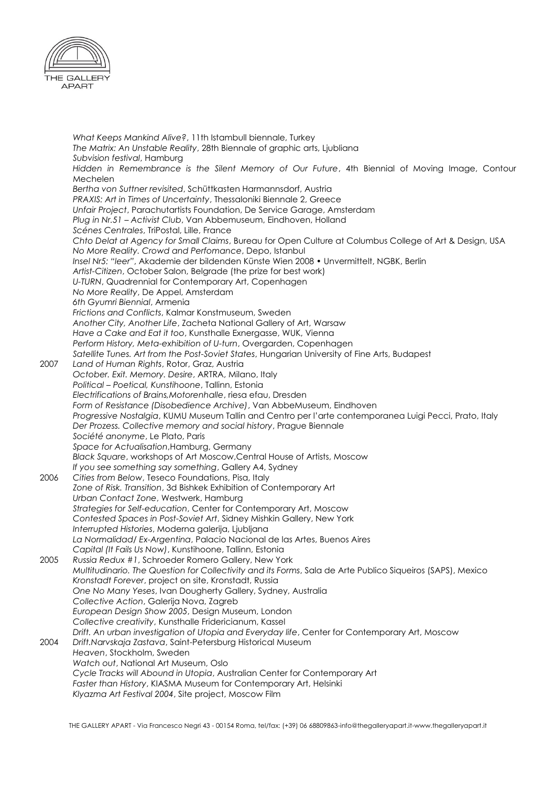

*What Keeps Mankind Alive?*, 11th Istambull biennale, Turkey *The Matrix: An Unstable Reality*, 28th Biennale of graphic arts, Ljubliana *Subvision festival*, Hamburg *Hidden in Remembrance is the Silent Memory of Our Future*, 4th Biennial of Moving Image, Contour Mechelen *Bertha von Suttner revisited*, Schüttkasten Harmannsdorf, Austria *PRAXIS: Art in Times of Uncertainty*, Thessaloniki Biennale 2, Greece *Unfair Project*, Parachutartists Foundation, De Service Garage, Amsterdam *Plug in Nr.51 – Activist Club*, Van Abbemuseum, Eindhoven, Holland *Scénes Centrales*, TriPostal, Lille, France *Chto Delat at Agency for Small Claims*, Bureau for Open Culture at Columbus College of Art & Design, USA *No More Reality. Crowd and Perfomance*, Depo, Istanbul *Insel Nr5: "leer"*, Akademie der bildenden Künste Wien 2008 • Unvermittelt, NGBK, Berlin *Artist-Citizen*, October Salon, Belgrade (the prize for best work) *U-TURN*, Quadrennial for Contemporary Art, Copenhagen *No More Reality*, De Appel, Amsterdam *6th Gyumri Biennial*, Armenia *Frictions and Conflicts*, Kalmar Konstmuseum, Sweden *Another City, Another Life*, Zacheta National Gallery of Art, Warsaw *Have a Cake and Eat it too*, Kunsthalle Exnergasse, WUK, Vienna *Perform History, Meta-exhibition of U-turn*, Overgarden, Copenhagen *Satellite Tunes. Art from the Post-Soviet States*, Hungarian University of Fine Arts, Budapest 2007 *Land of Human Rights*, Rotor, Graz, Austria *October. Exit. Memory. Desire*, ARTRA, Milano, Italy *Political – Poetical, Kunstihoone*, Tallinn, Estonia *Electrifications of Brains,Motorenhalle*, riesa efau, Dresden *Form of Resistance (Disobedience Archive)*, Van AbbeMuseum, Eindhoven *Progressive Nostalgia*, KUMU Museum Tallin and Centro per l'arte contemporanea Luigi Pecci, Prato, Italy *Der Prozess. Collective memory and social history*, Prague Biennale *Société anonyme*, Le Plato, Paris *Space for Actualisation*,Hamburg, Germany *Black Square*, workshops of Art Moscow,Central House of Artists, Moscow *If you see something say something*, Gallery A4, Sydney 2006 *Cities from Below*, Teseco Foundations, Pisa, Italy *Zone of Risk. Transition*, 3d Bishkek Exhibition of Contemporary Art *Urban Contact Zone*, Westwerk, Hamburg *Strategies for Self-education*, Center for Contemporary Art, Moscow *Contested Spaces in Post-Soviet Art*, Sidney Mishkin Gallery, New York *Interrupted Histories*, Moderna galerija, Ljubljana *La Normalidad/ Ex-Argentina*, Palacio Nacional de las Artes, Buenos Aires *Capital (It Fails Us Now)*, Kunstihoone, Tallinn, Estonia 2005 *Russia Redux #1*, Schroeder Romero Gallery, New York *Multitudinario. The Question for Collectivity and its Forms*, Sala de Arte Publico Siqueiros (SAPS), Mexico *Kronstadt Forever*, project on site, Kronstadt, Russia *One No Many Yeses*, Ivan Dougherty Gallery, Sydney, Australia *Collective Action*, Galerija Nova, Zagreb *European Design Show 2005*, Design Museum, London *Collective creativity*, Kunsthalle Fridericianum, Kassel *Drift. An urban investigation of Utopia and Everyday life*, Center for Contemporary Art, Moscow 2004 *Drift.Narvskaja Zastava*, Saint-Petersburg Historical Museum *Heaven*, Stockholm, Sweden *Watch out*, National Art Museum, Oslo *Cycle Tracks will Abound in Utopia*, Australian Center for Contemporary Art *Faster than History*, KIASMA Museum for Contemporary Art, Helsinki *Klyazma Art Festival 2004*, Site project, Moscow Film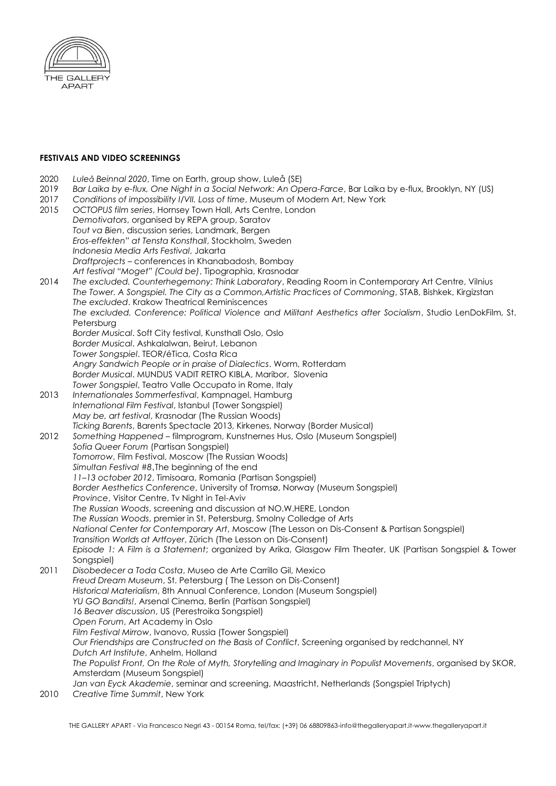

### **FESTIVALS AND VIDEO SCREENINGS**

- 2020 *Luleå Beinnal 2020*, Time on Earth, group show, Luleå (SE)
- 2019 *Bar Laika by e-flux, One Night in a Social Network: An Opera-Farce*, Bar Laika by e-flux, Brooklyn, NY (US)
- 2017 *Conditions of impossibility I/VII. Loss of time*, Museum of Modern Art, New York
- 2015 *OCTOPUS film series*, Hornsey Town Hall, Arts Centre, London *Demotivators*, organised by REPA group, Saratov *Tout va Bien*, discussion series, Landmark, Bergen *Eros-effekten" at Tensta Konsthall*, Stockholm, Sweden *Indonesia Media Arts Festival*, Jakarta *Draftprojects* – conferences in Khanabadosh, Bombay *Art festival "Moget" (Could be)*, Tipographia, Krasnodar 2014 *The excluded. Counterhegemony: Think Laboratory*, Reading Room in Contemporary Art Centre, Vilnius *The Tower. A Songspiel. The City as a Common,Artistic Practices of Commoning*, STAB, Bishkek, Kirgizstan *The excluded*. Krakow Theatrical Reminiscences *The excluded. Conference: Political Violence and Militant Aesthetics after Socialism*, Studio LenDokFilm, St. Petersburg *Border Musical*. Soft City festival, Kunsthall Oslo, Oslo *Border Musical*. Ashkalalwan, Beirut, Lebanon *Tower Songspiel*. TEOR/éTica, Costa Rica *Angry Sandwich People or in praise of Dialectics*. Worm, Rotterdam *Border Musical*. MUNDUS VADIT RETRO KIBLA, Maribor, Slovenia *Tower Songspiel*, Teatro Valle Occupato in Rome, Italy 2013 *Internationales Sommerfestival*, Kampnagel, Hamburg *International Film Festival*, Istanbul (Tower Songspiel) *May be, art festival*, Krasnodar (The Russian Woods) *Ticking Barents*, Barents Spectacle 2013, Kirkenes, Norway (Border Musical) 2012 *Something Happened* – filmprogram, Kunstnernes Hus, Oslo (Museum Songspiel) *Sofia Queer Forum* (Partisan Songspiel) *Tomorrow*, Film Festival, Moscow (The Russian Woods) Simultan Festival #8, The beginning of the end *11–13 october 2012*, Timisoara, Romania (Partisan Songspiel) *Border Aesthetics Conference*, University of Tromsø, Norway (Museum Songspiel) *Province*, Visitor Centre, Tv Night in Tel-Aviv *The Russian Woods*, screening and discussion at NO.W.HERE, London *The Russian Woods*, premier in St. Petersburg, Smolny Colledge of Arts *National Center for Contemporary Art*, Moscow (The Lesson on Dis-Consent & Partisan Songspiel) *Transition Worlds at Artfoyer*, Zürich (The Lesson on Dis-Consent) *Episode 1: A Film is a Statement*; organized by Arika, Glasgow Film Theater, UK (Partisan Songspiel & Tower Songspiel) 2011 *Disobedecer a Toda Costa*, Museo de Arte Carrillo Gil, Mexico *Freud Dream Museum*, St. Petersburg ( The Lesson on Dis-Consent) *Historical Materialism*, 8th Annual Conference, London (Museum Songspiel) *YU GO Bandits!*, Arsenal Cinema, Berlin (Partisan Songspiel) *16 Beaver discussion*, US (Perestroika Songspiel) *Open Forum*, Art Academy in Oslo *Film Festival Mirrow*, Ivanovo, Russia (Tower Songspiel) *Our Friendships are Constructed on the Basis of Conflict*, Screening organised by redchannel, NY *Dutch Art Institute*, Anhelm, Holland *The Populist Front, On the Role of Myth, Storytelling and Imaginary in Populist Movements*, organised by SKOR, Amsterdam (Museum Songspiel) *Jan van Eyck Akademie*, seminar and screening, Maastricht, Netherlands (Songspiel Triptych) 2010 *Creative Time Summit*, New York